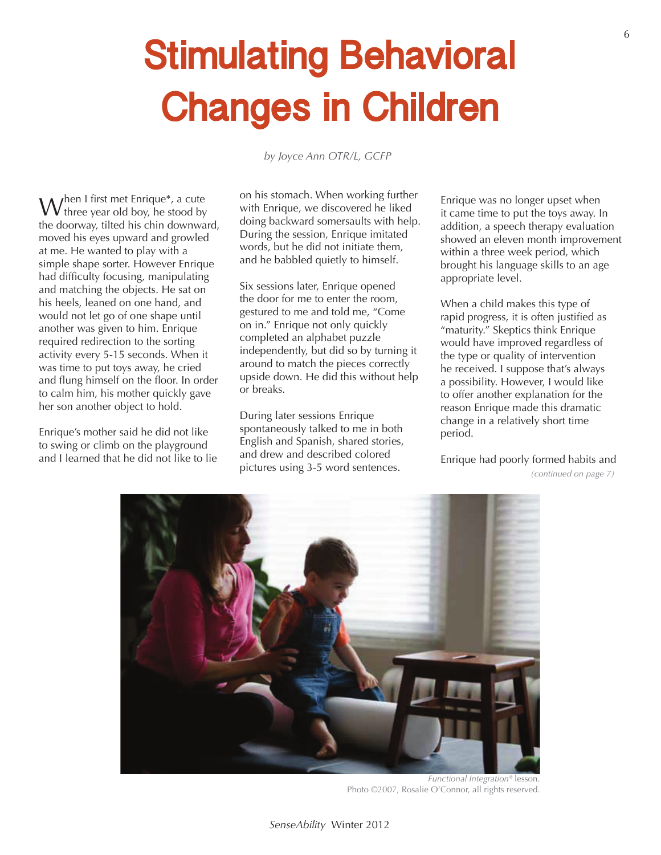## **Stimulating Behavioral Changes in Children**

*by Joyce Ann OTR/L, GCFP*

W  $\Lambda$ hen I first met Enrique\*, a cute three year old boy, he stood by the doorway, tilted his chin downward, moved his eyes upward and growled at me. He wanted to play with a simple shape sorter. However Enrique had difficulty focusing, manipulating and matching the objects. He sat on his heels, leaned on one hand, and would not let go of one shape until another was given to him. Enrique required redirection to the sorting activity every 5-15 seconds. When it was time to put toys away, he cried and flung himself on the floor. In order to calm him, his mother quickly gave her son another object to hold.

Enrique's mother said he did not like to swing or climb on the playground and I learned that he did not like to lie on his stomach. When working further with Enrique, we discovered he liked doing backward somersaults with help. During the session, Enrique imitated words, but he did not initiate them, and he babbled quietly to himself.

Six sessions later, Enrique opened the door for me to enter the room, gestured to me and told me, "Come on in." Enrique not only quickly completed an alphabet puzzle independently, but did so by turning it around to match the pieces correctly upside down. He did this without help or breaks.

During later sessions Enrique spontaneously talked to me in both English and Spanish, shared stories, and drew and described colored pictures using 3-5 word sentences. *(continued on page 7)*

Enrique was no longer upset when it came time to put the toys away. In addition, a speech therapy evaluation showed an eleven month improvement within a three week period, which brought his language skills to an age appropriate level.

When a child makes this type of rapid progress, it is often justified as "maturity." Skeptics think Enrique would have improved regardless of the type or quality of intervention he received. I suppose that's always a possibility. However, I would like to offer another explanation for the reason Enrique made this dramatic change in a relatively short time period.

Enrique had poorly formed habits and

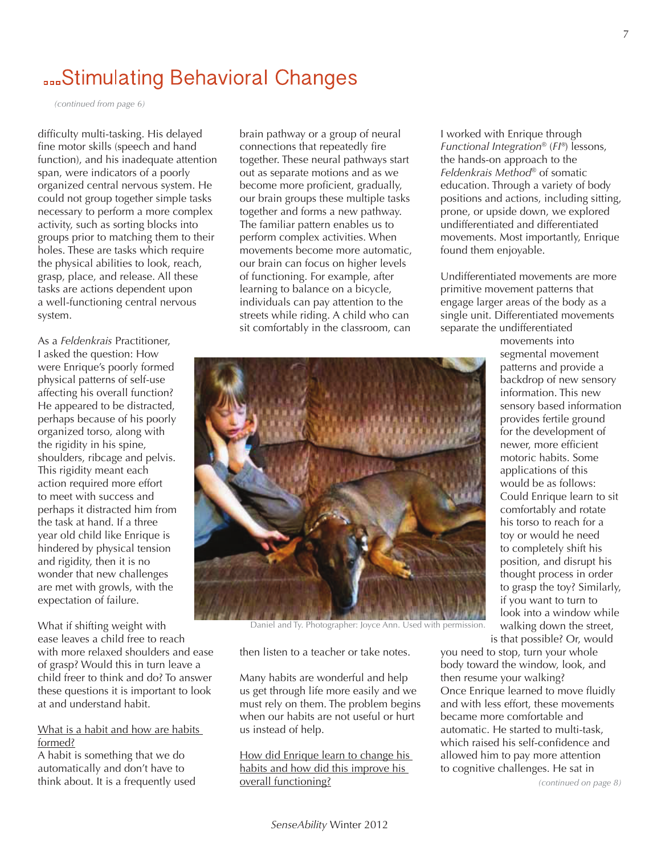## **BookStimulating Behavioral Changes**

*(continued from page 6)*

difficulty multi-tasking. His delayed fine motor skills (speech and hand function), and his inadequate attention span, were indicators of a poorly organized central nervous system. He could not group together simple tasks necessary to perform a more complex activity, such as sorting blocks into groups prior to matching them to their holes. These are tasks which require the physical abilities to look, reach, grasp, place, and release. All these tasks are actions dependent upon a well-functioning central nervous system.

As a *Feldenkrais* Practitioner, I asked the question: How were Enrique's poorly formed physical patterns of self-use affecting his overall function? He appeared to be distracted, perhaps because of his poorly organized torso, along with the rigidity in his spine, shoulders, ribcage and pelvis. This rigidity meant each action required more effort to meet with success and perhaps it distracted him from the task at hand. If a three year old child like Enrique is hindered by physical tension and rigidity, then it is no wonder that new challenges are met with growls, with the expectation of failure.

What if shifting weight with ease leaves a child free to reach with more relaxed shoulders and ease of grasp? Would this in turn leave a child freer to think and do? To answer these questions it is important to look at and understand habit.

## What is a habit and how are habits formed?

A habit is something that we do automatically and don't have to think about. It is a frequently used

brain pathway or a group of neural connections that repeatedly fire together. These neural pathways start out as separate motions and as we become more proficient, gradually, our brain groups these multiple tasks together and forms a new pathway. The familiar pattern enables us to perform complex activities. When movements become more automatic, our brain can focus on higher levels of functioning. For example, after learning to balance on a bicycle, individuals can pay attention to the streets while riding. A child who can sit comfortably in the classroom, can



Daniel and Ty. Photographer: Joyce Ann. Used with permission.

then listen to a teacher or take notes.

Many habits are wonderful and help us get through life more easily and we must rely on them. The problem begins when our habits are not useful or hurt us instead of help.

How did Enrique learn to change his habits and how did this improve his overall functioning?

I worked with Enrique through *Functional Integration*® (*FI®*) lessons, the hands-on approach to the *Feldenkrais Method*® of somatic education. Through a variety of body positions and actions, including sitting, prone, or upside down, we explored undifferentiated and differentiated movements. Most importantly, Enrique found them enjoyable.

Undifferentiated movements are more primitive movement patterns that engage larger areas of the body as a single unit. Differentiated movements separate the undifferentiated

> movements into segmental movement patterns and provide a backdrop of new sensory information. This new sensory based information provides fertile ground for the development of newer, more efficient motoric habits. Some applications of this would be as follows: Could Enrique learn to sit comfortably and rotate his torso to reach for a toy or would he need to completely shift his position, and disrupt his thought process in order to grasp the toy? Similarly, if you want to turn to look into a window while walking down the street, is that possible? Or, would

you need to stop, turn your whole body toward the window, look, and then resume your walking? Once Enrique learned to move fluidly and with less effort, these movements became more comfortable and automatic. He started to multi-task, which raised his self-confidence and allowed him to pay more attention to cognitive challenges. He sat in

*(continued on page 8)*